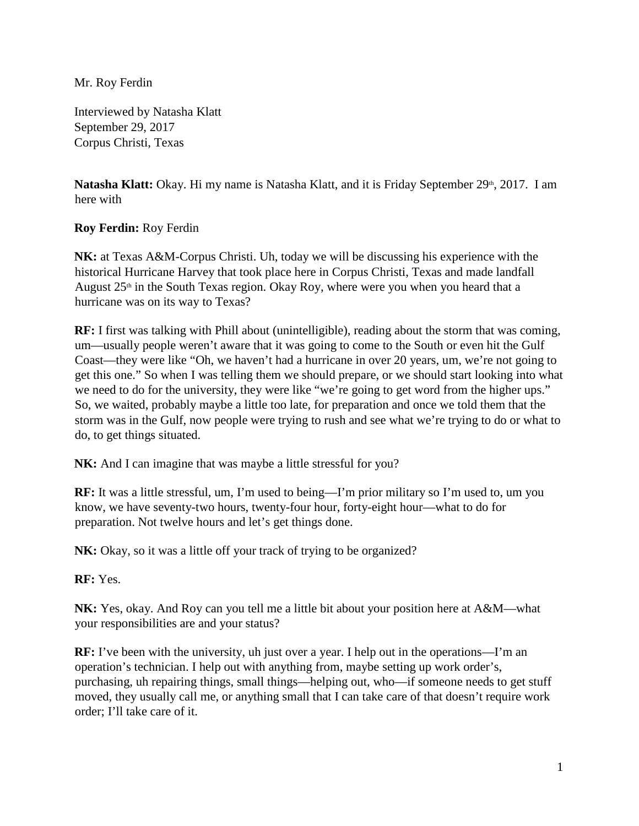Mr. Roy Ferdin

Interviewed by Natasha Klatt September 29, 2017 Corpus Christi, Texas

**Natasha Klatt:** Okay. Hi my name is Natasha Klatt, and it is Friday September 29<sup>th</sup>, 2017. I am here with

## **Roy Ferdin:** Roy Ferdin

**NK:** at Texas A&M-Corpus Christi. Uh, today we will be discussing his experience with the historical Hurricane Harvey that took place here in Corpus Christi, Texas and made landfall August  $25<sup>th</sup>$  in the South Texas region. Okay Roy, where were you when you heard that a hurricane was on its way to Texas?

**RF:** I first was talking with Phill about (unintelligible), reading about the storm that was coming, um—usually people weren't aware that it was going to come to the South or even hit the Gulf Coast—they were like "Oh, we haven't had a hurricane in over 20 years, um, we're not going to get this one." So when I was telling them we should prepare, or we should start looking into what we need to do for the university, they were like "we're going to get word from the higher ups." So, we waited, probably maybe a little too late, for preparation and once we told them that the storm was in the Gulf, now people were trying to rush and see what we're trying to do or what to do, to get things situated.

**NK:** And I can imagine that was maybe a little stressful for you?

**RF:** It was a little stressful, um, I'm used to being—I'm prior military so I'm used to, um you know, we have seventy-two hours, twenty-four hour, forty-eight hour—what to do for preparation. Not twelve hours and let's get things done.

**NK:** Okay, so it was a little off your track of trying to be organized?

**RF:** Yes.

**NK:** Yes, okay. And Roy can you tell me a little bit about your position here at A&M—what your responsibilities are and your status?

**RF:** I've been with the university, uh just over a year. I help out in the operations—I'm an operation's technician. I help out with anything from, maybe setting up work order's, purchasing, uh repairing things, small things—helping out, who—if someone needs to get stuff moved, they usually call me, or anything small that I can take care of that doesn't require work order; I'll take care of it.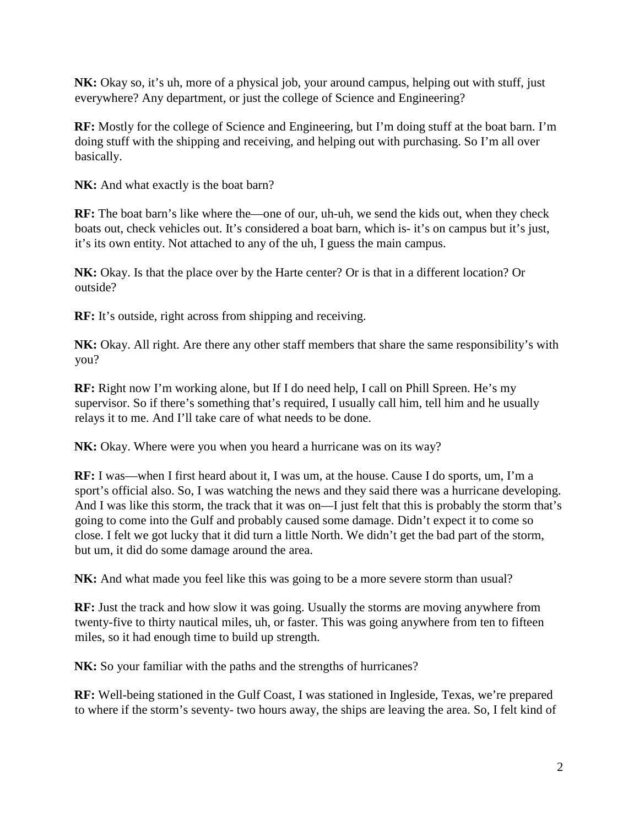**NK:** Okay so, it's uh, more of a physical job, your around campus, helping out with stuff, just everywhere? Any department, or just the college of Science and Engineering?

**RF:** Mostly for the college of Science and Engineering, but I'm doing stuff at the boat barn. I'm doing stuff with the shipping and receiving, and helping out with purchasing. So I'm all over basically.

**NK:** And what exactly is the boat barn?

**RF:** The boat barn's like where the—one of our, uh-uh, we send the kids out, when they check boats out, check vehicles out. It's considered a boat barn, which is- it's on campus but it's just, it's its own entity. Not attached to any of the uh, I guess the main campus.

**NK:** Okay. Is that the place over by the Harte center? Or is that in a different location? Or outside?

**RF:** It's outside, right across from shipping and receiving.

**NK:** Okay. All right. Are there any other staff members that share the same responsibility's with you?

**RF:** Right now I'm working alone, but If I do need help, I call on Phill Spreen. He's my supervisor. So if there's something that's required, I usually call him, tell him and he usually relays it to me. And I'll take care of what needs to be done.

**NK:** Okay. Where were you when you heard a hurricane was on its way?

**RF:** I was—when I first heard about it, I was um, at the house. Cause I do sports, um, I'm a sport's official also. So, I was watching the news and they said there was a hurricane developing. And I was like this storm, the track that it was on—I just felt that this is probably the storm that's going to come into the Gulf and probably caused some damage. Didn't expect it to come so close. I felt we got lucky that it did turn a little North. We didn't get the bad part of the storm, but um, it did do some damage around the area.

**NK:** And what made you feel like this was going to be a more severe storm than usual?

**RF:** Just the track and how slow it was going. Usually the storms are moving anywhere from twenty-five to thirty nautical miles, uh, or faster. This was going anywhere from ten to fifteen miles, so it had enough time to build up strength.

NK: So your familiar with the paths and the strengths of hurricanes?

**RF:** Well-being stationed in the Gulf Coast, I was stationed in Ingleside, Texas, we're prepared to where if the storm's seventy- two hours away, the ships are leaving the area. So, I felt kind of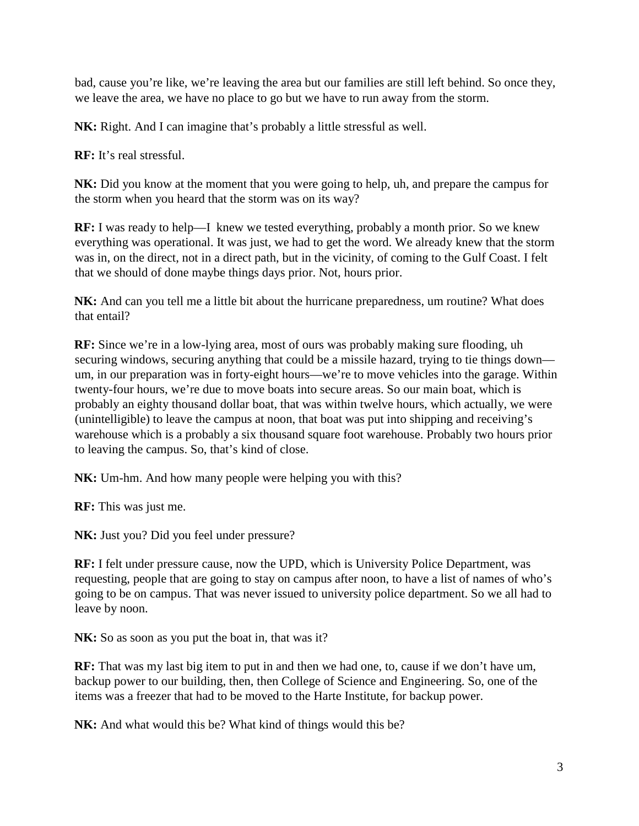bad, cause you're like, we're leaving the area but our families are still left behind. So once they, we leave the area, we have no place to go but we have to run away from the storm.

**NK:** Right. And I can imagine that's probably a little stressful as well.

**RF:** It's real stressful.

**NK:** Did you know at the moment that you were going to help, uh, and prepare the campus for the storm when you heard that the storm was on its way?

**RF:** I was ready to help—I knew we tested everything, probably a month prior. So we knew everything was operational. It was just, we had to get the word. We already knew that the storm was in, on the direct, not in a direct path, but in the vicinity, of coming to the Gulf Coast. I felt that we should of done maybe things days prior. Not, hours prior.

**NK:** And can you tell me a little bit about the hurricane preparedness, um routine? What does that entail?

**RF:** Since we're in a low-lying area, most of ours was probably making sure flooding, uh securing windows, securing anything that could be a missile hazard, trying to tie things down um, in our preparation was in forty-eight hours—we're to move vehicles into the garage. Within twenty-four hours, we're due to move boats into secure areas. So our main boat, which is probably an eighty thousand dollar boat, that was within twelve hours, which actually, we were (unintelligible) to leave the campus at noon, that boat was put into shipping and receiving's warehouse which is a probably a six thousand square foot warehouse. Probably two hours prior to leaving the campus. So, that's kind of close.

**NK:** Um-hm. And how many people were helping you with this?

**RF:** This was just me.

**NK:** Just you? Did you feel under pressure?

**RF:** I felt under pressure cause, now the UPD, which is University Police Department, was requesting, people that are going to stay on campus after noon, to have a list of names of who's going to be on campus. That was never issued to university police department. So we all had to leave by noon.

NK: So as soon as you put the boat in, that was it?

**RF:** That was my last big item to put in and then we had one, to, cause if we don't have um, backup power to our building, then, then College of Science and Engineering. So, one of the items was a freezer that had to be moved to the Harte Institute, for backup power.

**NK:** And what would this be? What kind of things would this be?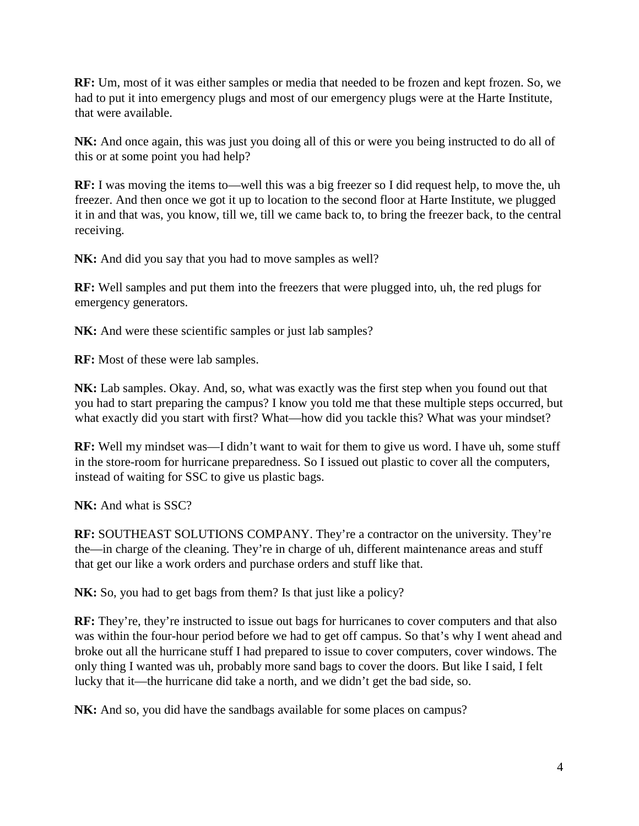**RF:** Um, most of it was either samples or media that needed to be frozen and kept frozen. So, we had to put it into emergency plugs and most of our emergency plugs were at the Harte Institute, that were available.

NK: And once again, this was just you doing all of this or were you being instructed to do all of this or at some point you had help?

**RF:** I was moving the items to—well this was a big freezer so I did request help, to move the, uh freezer. And then once we got it up to location to the second floor at Harte Institute, we plugged it in and that was, you know, till we, till we came back to, to bring the freezer back, to the central receiving.

**NK:** And did you say that you had to move samples as well?

**RF:** Well samples and put them into the freezers that were plugged into, uh, the red plugs for emergency generators.

NK: And were these scientific samples or just lab samples?

**RF:** Most of these were lab samples.

**NK:** Lab samples. Okay. And, so, what was exactly was the first step when you found out that you had to start preparing the campus? I know you told me that these multiple steps occurred, but what exactly did you start with first? What—how did you tackle this? What was your mindset?

**RF:** Well my mindset was—I didn't want to wait for them to give us word. I have uh, some stuff in the store-room for hurricane preparedness. So I issued out plastic to cover all the computers, instead of waiting for SSC to give us plastic bags.

**NK:** And what is SSC?

**RF:** SOUTHEAST SOLUTIONS COMPANY. They're a contractor on the university. They're the—in charge of the cleaning. They're in charge of uh, different maintenance areas and stuff that get our like a work orders and purchase orders and stuff like that.

NK: So, you had to get bags from them? Is that just like a policy?

**RF:** They're, they're instructed to issue out bags for hurricanes to cover computers and that also was within the four-hour period before we had to get off campus. So that's why I went ahead and broke out all the hurricane stuff I had prepared to issue to cover computers, cover windows. The only thing I wanted was uh, probably more sand bags to cover the doors. But like I said, I felt lucky that it—the hurricane did take a north, and we didn't get the bad side, so.

**NK:** And so, you did have the sandbags available for some places on campus?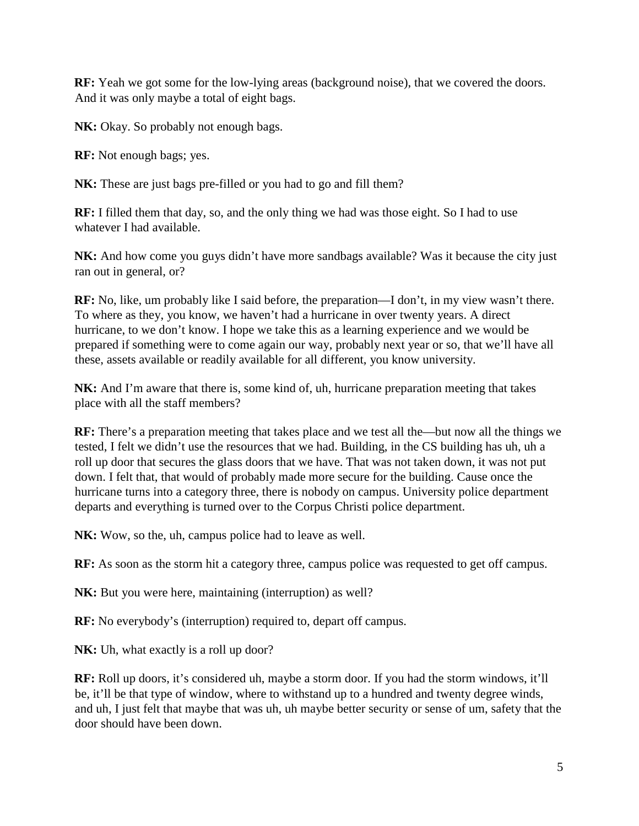**RF:** Yeah we got some for the low-lying areas (background noise), that we covered the doors. And it was only maybe a total of eight bags.

**NK:** Okay. So probably not enough bags.

**RF:** Not enough bags; yes.

**NK:** These are just bags pre-filled or you had to go and fill them?

**RF:** I filled them that day, so, and the only thing we had was those eight. So I had to use whatever I had available.

**NK:** And how come you guys didn't have more sandbags available? Was it because the city just ran out in general, or?

**RF:** No, like, um probably like I said before, the preparation—I don't, in my view wasn't there. To where as they, you know, we haven't had a hurricane in over twenty years. A direct hurricane, to we don't know. I hope we take this as a learning experience and we would be prepared if something were to come again our way, probably next year or so, that we'll have all these, assets available or readily available for all different, you know university.

**NK:** And I'm aware that there is, some kind of, uh, hurricane preparation meeting that takes place with all the staff members?

**RF:** There's a preparation meeting that takes place and we test all the—but now all the things we tested, I felt we didn't use the resources that we had. Building, in the CS building has uh, uh a roll up door that secures the glass doors that we have. That was not taken down, it was not put down. I felt that, that would of probably made more secure for the building. Cause once the hurricane turns into a category three, there is nobody on campus. University police department departs and everything is turned over to the Corpus Christi police department.

**NK:** Wow, so the, uh, campus police had to leave as well.

**RF:** As soon as the storm hit a category three, campus police was requested to get off campus.

**NK:** But you were here, maintaining (interruption) as well?

**RF:** No everybody's (interruption) required to, depart off campus.

**NK:** Uh, what exactly is a roll up door?

**RF:** Roll up doors, it's considered uh, maybe a storm door. If you had the storm windows, it'll be, it'll be that type of window, where to withstand up to a hundred and twenty degree winds, and uh, I just felt that maybe that was uh, uh maybe better security or sense of um, safety that the door should have been down.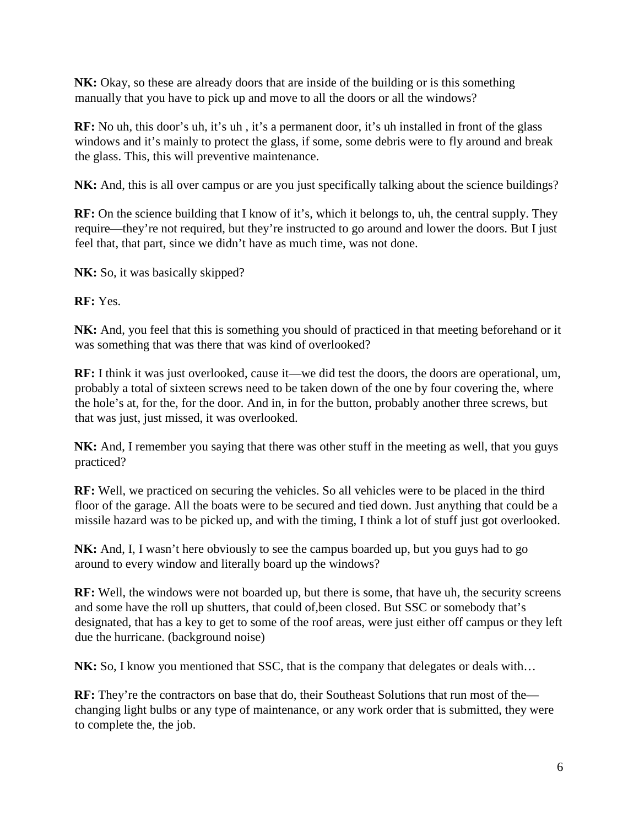**NK:** Okay, so these are already doors that are inside of the building or is this something manually that you have to pick up and move to all the doors or all the windows?

**RF:** No uh, this door's uh, it's uh , it's a permanent door, it's uh installed in front of the glass windows and it's mainly to protect the glass, if some, some debris were to fly around and break the glass. This, this will preventive maintenance.

**NK:** And, this is all over campus or are you just specifically talking about the science buildings?

**RF:** On the science building that I know of it's, which it belongs to, uh, the central supply. They require—they're not required, but they're instructed to go around and lower the doors. But I just feel that, that part, since we didn't have as much time, was not done.

**NK:** So, it was basically skipped?

**RF:** Yes.

**NK:** And, you feel that this is something you should of practiced in that meeting beforehand or it was something that was there that was kind of overlooked?

**RF:** I think it was just overlooked, cause it—we did test the doors, the doors are operational, um, probably a total of sixteen screws need to be taken down of the one by four covering the, where the hole's at, for the, for the door. And in, in for the button, probably another three screws, but that was just, just missed, it was overlooked.

**NK:** And, I remember you saying that there was other stuff in the meeting as well, that you guys practiced?

**RF:** Well, we practiced on securing the vehicles. So all vehicles were to be placed in the third floor of the garage. All the boats were to be secured and tied down. Just anything that could be a missile hazard was to be picked up, and with the timing, I think a lot of stuff just got overlooked.

**NK:** And, I, I wasn't here obviously to see the campus boarded up, but you guys had to go around to every window and literally board up the windows?

**RF:** Well, the windows were not boarded up, but there is some, that have uh, the security screens and some have the roll up shutters, that could of,been closed. But SSC or somebody that's designated, that has a key to get to some of the roof areas, were just either off campus or they left due the hurricane. (background noise)

**NK:** So, I know you mentioned that SSC, that is the company that delegates or deals with...

**RF:** They're the contractors on base that do, their Southeast Solutions that run most of the changing light bulbs or any type of maintenance, or any work order that is submitted, they were to complete the, the job.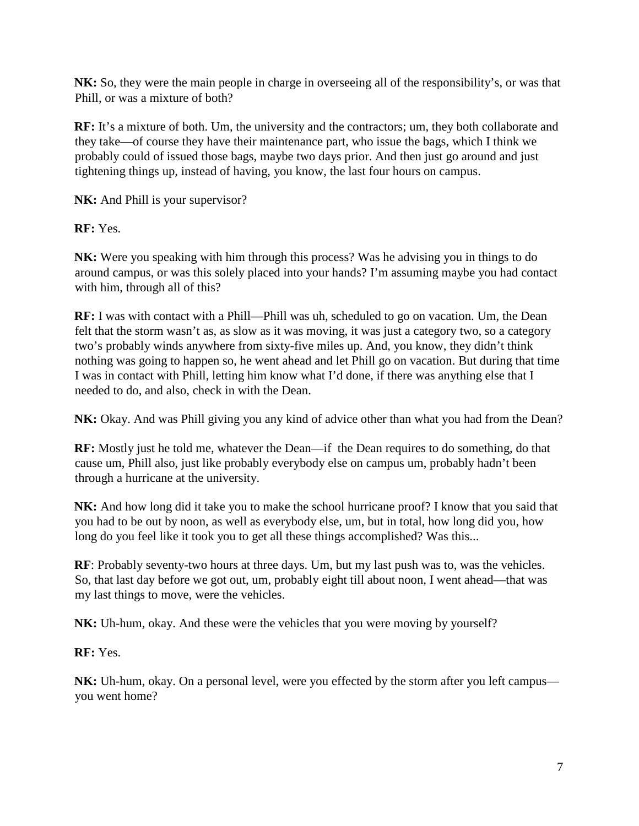**NK:** So, they were the main people in charge in overseeing all of the responsibility's, or was that Phill, or was a mixture of both?

**RF:** It's a mixture of both. Um, the university and the contractors; um, they both collaborate and they take—of course they have their maintenance part, who issue the bags, which I think we probably could of issued those bags, maybe two days prior. And then just go around and just tightening things up, instead of having, you know, the last four hours on campus.

**NK:** And Phill is your supervisor?

**RF:** Yes.

**NK:** Were you speaking with him through this process? Was he advising you in things to do around campus, or was this solely placed into your hands? I'm assuming maybe you had contact with him, through all of this?

**RF:** I was with contact with a Phill—Phill was uh, scheduled to go on vacation. Um, the Dean felt that the storm wasn't as, as slow as it was moving, it was just a category two, so a category two's probably winds anywhere from sixty-five miles up. And, you know, they didn't think nothing was going to happen so, he went ahead and let Phill go on vacation. But during that time I was in contact with Phill, letting him know what I'd done, if there was anything else that I needed to do, and also, check in with the Dean.

**NK:** Okay. And was Phill giving you any kind of advice other than what you had from the Dean?

**RF:** Mostly just he told me, whatever the Dean—if the Dean requires to do something, do that cause um, Phill also, just like probably everybody else on campus um, probably hadn't been through a hurricane at the university.

**NK:** And how long did it take you to make the school hurricane proof? I know that you said that you had to be out by noon, as well as everybody else, um, but in total, how long did you, how long do you feel like it took you to get all these things accomplished? Was this...

**RF**: Probably seventy-two hours at three days. Um, but my last push was to, was the vehicles. So, that last day before we got out, um, probably eight till about noon, I went ahead—that was my last things to move, were the vehicles.

**NK:** Uh-hum, okay. And these were the vehicles that you were moving by yourself?

**RF:** Yes.

**NK:** Uh-hum, okay. On a personal level, were you effected by the storm after you left campus you went home?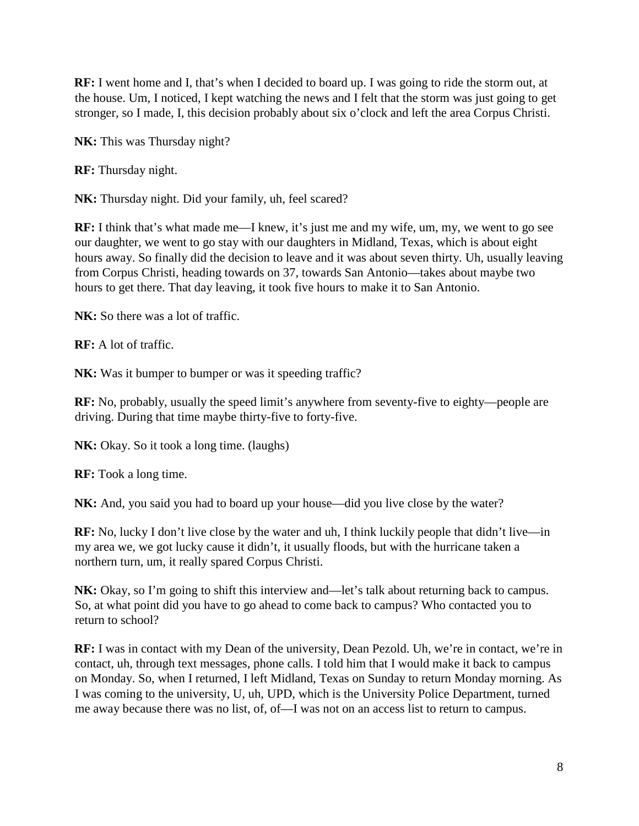**RF:** I went home and I, that's when I decided to board up. I was going to ride the storm out, at the house. Um, I noticed, I kept watching the news and I felt that the storm was just going to get stronger, so I made, I, this decision probably about six o'clock and left the area Corpus Christi.

**NK:** This was Thursday night?

**RF:** Thursday night.

**NK:** Thursday night. Did your family, uh, feel scared?

**RF:** I think that's what made me—I knew, it's just me and my wife, um, my, we went to go see our daughter, we went to go stay with our daughters in Midland, Texas, which is about eight hours away. So finally did the decision to leave and it was about seven thirty. Uh, usually leaving from Corpus Christi, heading towards on 37, towards San Antonio—takes about maybe two hours to get there. That day leaving, it took five hours to make it to San Antonio.

**NK:** So there was a lot of traffic.

**RF:** A lot of traffic.

**NK:** Was it bumper to bumper or was it speeding traffic?

**RF:** No, probably, usually the speed limit's anywhere from seventy-five to eighty—people are driving. During that time maybe thirty-five to forty-five.

**NK:** Okay. So it took a long time. (laughs)

**RF:** Took a long time.

**NK:** And, you said you had to board up your house—did you live close by the water?

**RF:** No, lucky I don't live close by the water and uh, I think luckily people that didn't live—in my area we, we got lucky cause it didn't, it usually floods, but with the hurricane taken a northern turn, um, it really spared Corpus Christi.

**NK:** Okay, so I'm going to shift this interview and—let's talk about returning back to campus. So, at what point did you have to go ahead to come back to campus? Who contacted you to return to school?

**RF:** I was in contact with my Dean of the university, Dean Pezold. Uh, we're in contact, we're in contact, uh, through text messages, phone calls. I told him that I would make it back to campus on Monday. So, when I returned, I left Midland, Texas on Sunday to return Monday morning. As I was coming to the university, U, uh, UPD, which is the University Police Department, turned me away because there was no list, of, of—I was not on an access list to return to campus.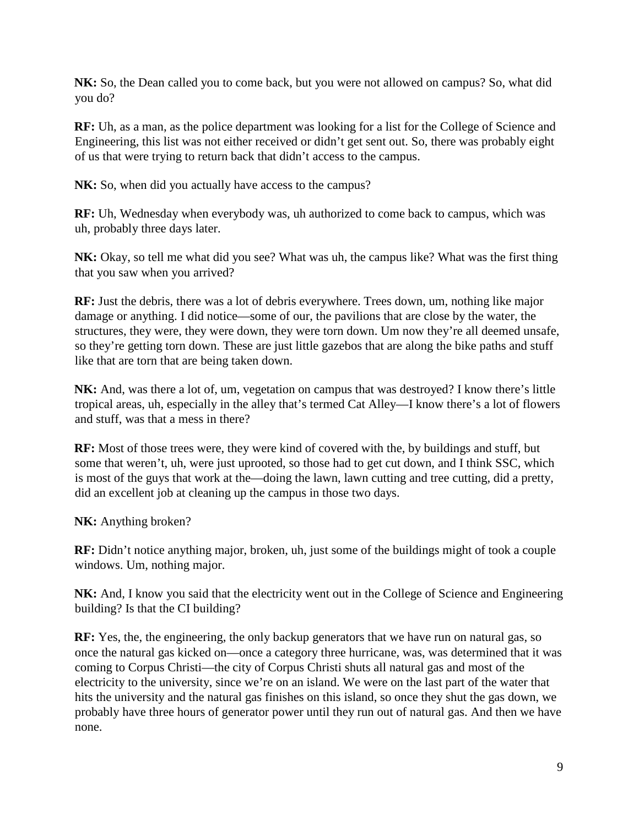**NK:** So, the Dean called you to come back, but you were not allowed on campus? So, what did you do?

**RF:** Uh, as a man, as the police department was looking for a list for the College of Science and Engineering, this list was not either received or didn't get sent out. So, there was probably eight of us that were trying to return back that didn't access to the campus.

**NK:** So, when did you actually have access to the campus?

**RF:** Uh, Wednesday when everybody was, uh authorized to come back to campus, which was uh, probably three days later.

**NK:** Okay, so tell me what did you see? What was uh, the campus like? What was the first thing that you saw when you arrived?

**RF:** Just the debris, there was a lot of debris everywhere. Trees down, um, nothing like major damage or anything. I did notice—some of our, the pavilions that are close by the water, the structures, they were, they were down, they were torn down. Um now they're all deemed unsafe, so they're getting torn down. These are just little gazebos that are along the bike paths and stuff like that are torn that are being taken down.

**NK:** And, was there a lot of, um, vegetation on campus that was destroyed? I know there's little tropical areas, uh, especially in the alley that's termed Cat Alley—I know there's a lot of flowers and stuff, was that a mess in there?

**RF:** Most of those trees were, they were kind of covered with the, by buildings and stuff, but some that weren't, uh, were just uprooted, so those had to get cut down, and I think SSC, which is most of the guys that work at the—doing the lawn, lawn cutting and tree cutting, did a pretty, did an excellent job at cleaning up the campus in those two days.

**NK:** Anything broken?

**RF:** Didn't notice anything major, broken, uh, just some of the buildings might of took a couple windows. Um, nothing major.

**NK:** And, I know you said that the electricity went out in the College of Science and Engineering building? Is that the CI building?

**RF:** Yes, the, the engineering, the only backup generators that we have run on natural gas, so once the natural gas kicked on—once a category three hurricane, was, was determined that it was coming to Corpus Christi—the city of Corpus Christi shuts all natural gas and most of the electricity to the university, since we're on an island. We were on the last part of the water that hits the university and the natural gas finishes on this island, so once they shut the gas down, we probably have three hours of generator power until they run out of natural gas. And then we have none.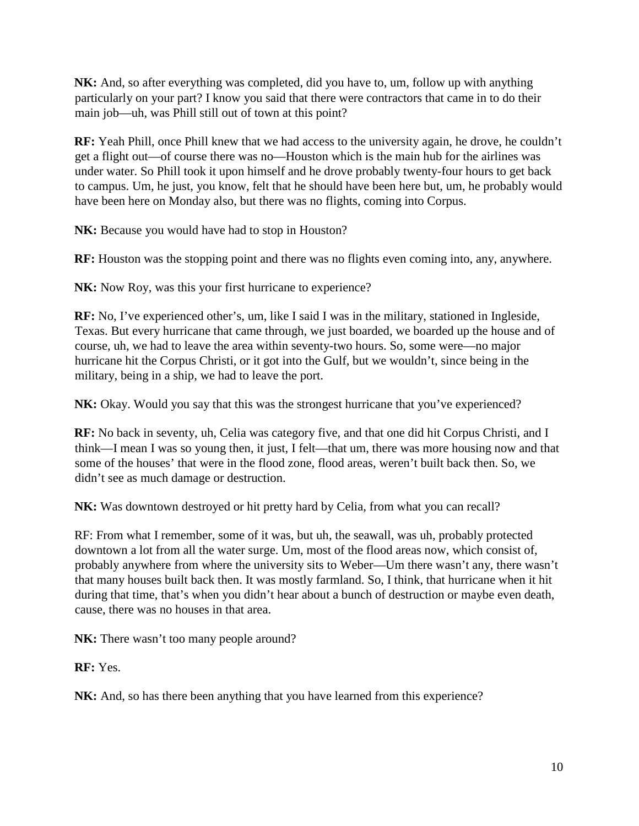**NK:** And, so after everything was completed, did you have to, um, follow up with anything particularly on your part? I know you said that there were contractors that came in to do their main job—uh, was Phill still out of town at this point?

**RF:** Yeah Phill, once Phill knew that we had access to the university again, he drove, he couldn't get a flight out—of course there was no—Houston which is the main hub for the airlines was under water. So Phill took it upon himself and he drove probably twenty-four hours to get back to campus. Um, he just, you know, felt that he should have been here but, um, he probably would have been here on Monday also, but there was no flights, coming into Corpus.

**NK:** Because you would have had to stop in Houston?

**RF:** Houston was the stopping point and there was no flights even coming into, any, anywhere.

NK: Now Roy, was this your first hurricane to experience?

**RF:** No, I've experienced other's, um, like I said I was in the military, stationed in Ingleside, Texas. But every hurricane that came through, we just boarded, we boarded up the house and of course, uh, we had to leave the area within seventy-two hours. So, some were—no major hurricane hit the Corpus Christi, or it got into the Gulf, but we wouldn't, since being in the military, being in a ship, we had to leave the port.

NK: Okay. Would you say that this was the strongest hurricane that you've experienced?

**RF:** No back in seventy, uh, Celia was category five, and that one did hit Corpus Christi, and I think—I mean I was so young then, it just, I felt—that um, there was more housing now and that some of the houses' that were in the flood zone, flood areas, weren't built back then. So, we didn't see as much damage or destruction.

**NK:** Was downtown destroyed or hit pretty hard by Celia, from what you can recall?

RF: From what I remember, some of it was, but uh, the seawall, was uh, probably protected downtown a lot from all the water surge. Um, most of the flood areas now, which consist of, probably anywhere from where the university sits to Weber—Um there wasn't any, there wasn't that many houses built back then. It was mostly farmland. So, I think, that hurricane when it hit during that time, that's when you didn't hear about a bunch of destruction or maybe even death, cause, there was no houses in that area.

**NK:** There wasn't too many people around?

**RF:** Yes.

**NK:** And, so has there been anything that you have learned from this experience?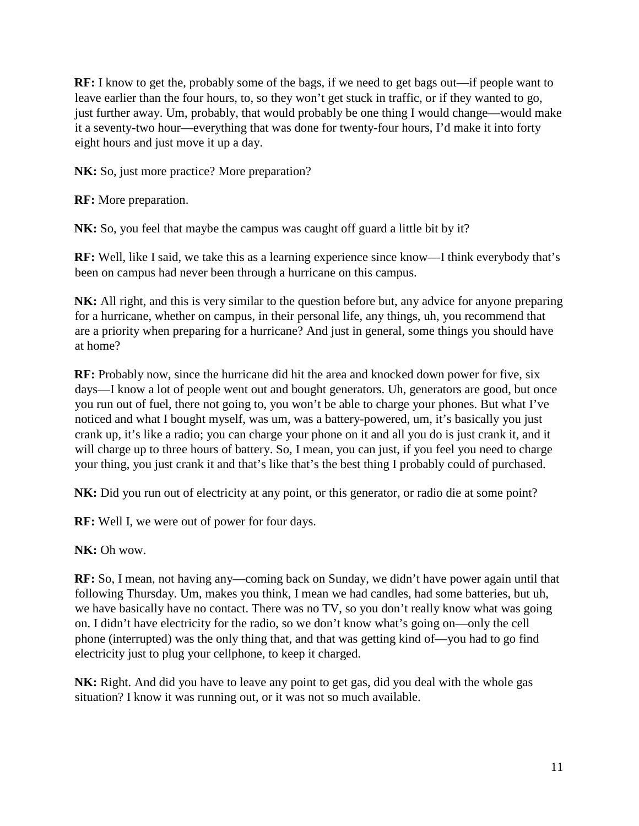**RF:** I know to get the, probably some of the bags, if we need to get bags out—if people want to leave earlier than the four hours, to, so they won't get stuck in traffic, or if they wanted to go, just further away. Um, probably, that would probably be one thing I would change—would make it a seventy-two hour—everything that was done for twenty-four hours, I'd make it into forty eight hours and just move it up a day.

**NK:** So, just more practice? More preparation?

**RF:** More preparation.

**NK:** So, you feel that maybe the campus was caught off guard a little bit by it?

**RF:** Well, like I said, we take this as a learning experience since know—I think everybody that's been on campus had never been through a hurricane on this campus.

**NK:** All right, and this is very similar to the question before but, any advice for anyone preparing for a hurricane, whether on campus, in their personal life, any things, uh, you recommend that are a priority when preparing for a hurricane? And just in general, some things you should have at home?

**RF:** Probably now, since the hurricane did hit the area and knocked down power for five, six days—I know a lot of people went out and bought generators. Uh, generators are good, but once you run out of fuel, there not going to, you won't be able to charge your phones. But what I've noticed and what I bought myself, was um, was a battery-powered, um, it's basically you just crank up, it's like a radio; you can charge your phone on it and all you do is just crank it, and it will charge up to three hours of battery. So, I mean, you can just, if you feel you need to charge your thing, you just crank it and that's like that's the best thing I probably could of purchased.

**NK:** Did you run out of electricity at any point, or this generator, or radio die at some point?

**RF:** Well I, we were out of power for four days.

**NK:** Oh wow.

**RF:** So, I mean, not having any—coming back on Sunday, we didn't have power again until that following Thursday. Um, makes you think, I mean we had candles, had some batteries, but uh, we have basically have no contact. There was no TV, so you don't really know what was going on. I didn't have electricity for the radio, so we don't know what's going on—only the cell phone (interrupted) was the only thing that, and that was getting kind of—you had to go find electricity just to plug your cellphone, to keep it charged.

**NK:** Right. And did you have to leave any point to get gas, did you deal with the whole gas situation? I know it was running out, or it was not so much available.